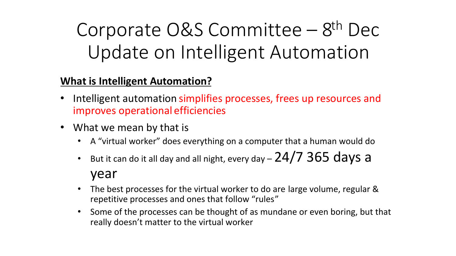# Corporate  $O&S$  Committee –  $8<sup>th</sup>$  Dec Update on Intelligent Automation

### **What is Intelligent Automation?**

- Intelligent automation simplifies processes, frees up resources and improves operational efficiencies
- What we mean by that is
	- A "virtual worker" does everything on a computer that a human would do
	- But it can do it all day and all night, every day  $-$  24/7 365 days a year
	- The best processes for the virtual worker to do are large volume, regular & repetitive processes and ones that follow "rules"
	- Some of the processes can be thought of as mundane or even boring, but that really doesn't matter to the virtual worker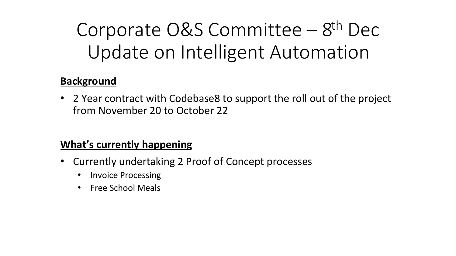# Corporate  $O&S$  Committee –  $8<sup>th</sup>$  Dec Update on Intelligent Automation

### **Background**

• 2 Year contract with Codebase8 to support the roll out of the project from November 20 to October 22

### **What's currently happening**

- Currently undertaking 2 Proof of Concept processes
	- Invoice Processing
	- Free School Meals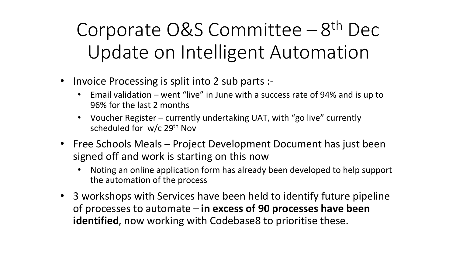# Corporate O&S Committee - 8<sup>th</sup> Dec Update on Intelligent Automation

- Invoice Processing is split into 2 sub parts :-
	- Email validation went "live" in June with a success rate of 94% and is up to 96% for the last 2 months
	- Voucher Register currently undertaking UAT, with "go live" currently scheduled for w/c 29<sup>th</sup> Nov
- Free Schools Meals Project Development Document has just been signed off and work is starting on this now
	- Noting an online application form has already been developed to help support the automation of the process
- 3 workshops with Services have been held to identify future pipeline of processes to automate – **in excess of 90 processes have been identified**, now working with Codebase8 to prioritise these.